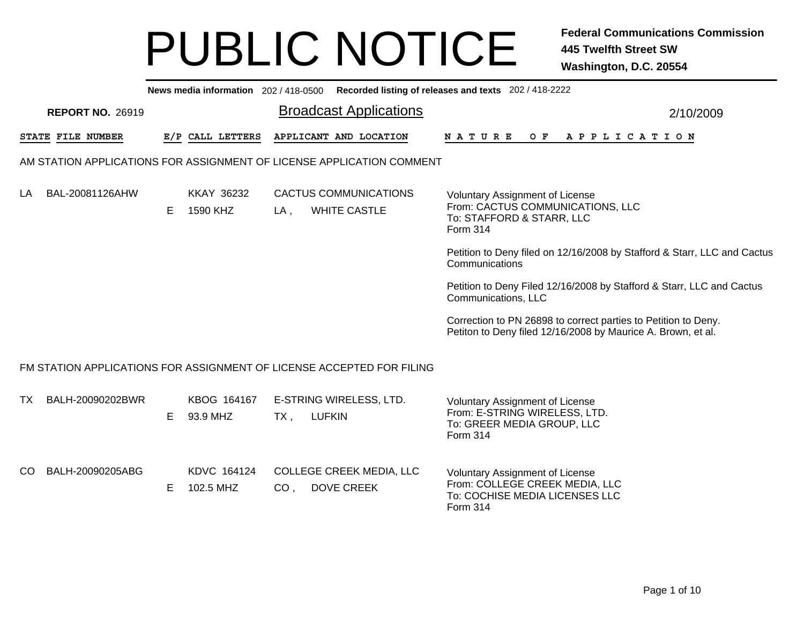|     | News media information 202 / 418-0500 Recorded listing of releases and texts 202 / 418-2222 |    |                               |                                                                         |                                                                                                                                |  |  |  |  |  |  |  |  |
|-----|---------------------------------------------------------------------------------------------|----|-------------------------------|-------------------------------------------------------------------------|--------------------------------------------------------------------------------------------------------------------------------|--|--|--|--|--|--|--|--|
|     | <b>REPORT NO. 26919</b>                                                                     |    |                               | <b>Broadcast Applications</b>                                           | 2/10/2009                                                                                                                      |  |  |  |  |  |  |  |  |
|     | STATE FILE NUMBER                                                                           |    | E/P CALL LETTERS              | APPLICANT AND LOCATION                                                  | <b>NATURE</b><br>OF APPLICATION                                                                                                |  |  |  |  |  |  |  |  |
|     |                                                                                             |    |                               | AM STATION APPLICATIONS FOR ASSIGNMENT OF LICENSE APPLICATION COMMENT   |                                                                                                                                |  |  |  |  |  |  |  |  |
| LA  | BAL-20081126AHW                                                                             | E. | <b>KKAY 36232</b><br>1590 KHZ | <b>CACTUS COMMUNICATIONS</b><br><b>WHITE CASTLE</b><br>LA,              | Voluntary Assignment of License<br>From: CACTUS COMMUNICATIONS, LLC<br>To: STAFFORD & STARR, LLC<br>Form 314                   |  |  |  |  |  |  |  |  |
|     |                                                                                             |    |                               |                                                                         | Petition to Deny filed on 12/16/2008 by Stafford & Starr, LLC and Cactus<br>Communications                                     |  |  |  |  |  |  |  |  |
|     |                                                                                             |    |                               |                                                                         | Petition to Deny Filed 12/16/2008 by Stafford & Starr, LLC and Cactus<br>Communications, LLC                                   |  |  |  |  |  |  |  |  |
|     |                                                                                             |    |                               |                                                                         | Correction to PN 26898 to correct parties to Petition to Deny.<br>Petiton to Deny filed 12/16/2008 by Maurice A. Brown, et al. |  |  |  |  |  |  |  |  |
|     |                                                                                             |    |                               | FM STATION APPLICATIONS FOR ASSIGNMENT OF LICENSE ACCEPTED FOR FILING   |                                                                                                                                |  |  |  |  |  |  |  |  |
| TX  | BALH-20090202BWR                                                                            | E  | KBOG 164167<br>93.9 MHZ       | E-STRING WIRELESS, LTD.<br><b>LUFKIN</b><br>$TX$ ,                      | Voluntary Assignment of License<br>From: E-STRING WIRELESS, LTD.<br>To: GREER MEDIA GROUP, LLC<br>Form 314                     |  |  |  |  |  |  |  |  |
| CO. | BALH-20090205ABG                                                                            | E  | KDVC 164124<br>102.5 MHZ      | <b>COLLEGE CREEK MEDIA, LLC</b><br><b>DOVE CREEK</b><br>CO <sub>1</sub> | <b>Voluntary Assignment of License</b><br>From: COLLEGE CREEK MEDIA, LLC<br>To: COCHISE MEDIA LICENSES LLC<br>Form 314         |  |  |  |  |  |  |  |  |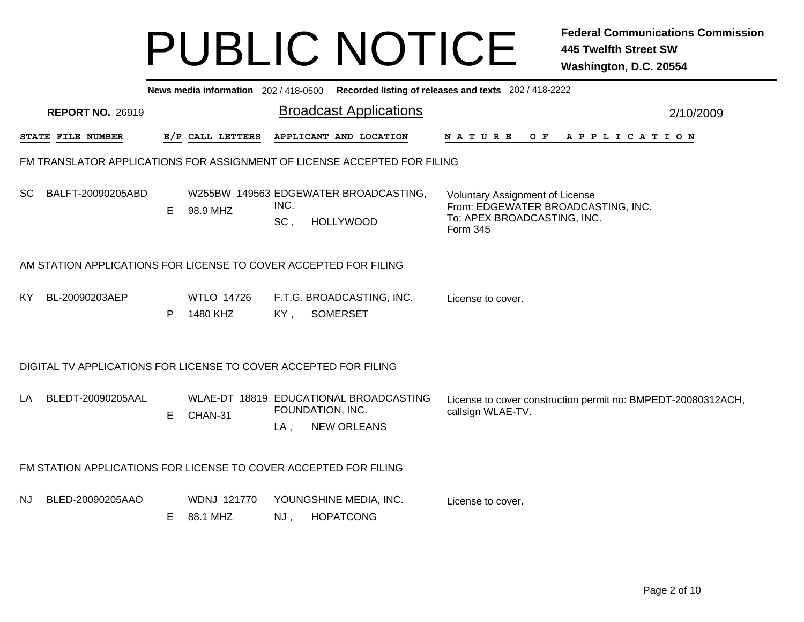|           |                                                                          |    |                                |                               |  | News media information 202/418-0500 Recorded listing of releases and texts 202/418-2222 |                                                                                                                         |  |  |     |  |                       |  |  |  |  |                                                              |
|-----------|--------------------------------------------------------------------------|----|--------------------------------|-------------------------------|--|-----------------------------------------------------------------------------------------|-------------------------------------------------------------------------------------------------------------------------|--|--|-----|--|-----------------------|--|--|--|--|--------------------------------------------------------------|
|           | <b>REPORT NO. 26919</b>                                                  |    |                                | <b>Broadcast Applications</b> |  |                                                                                         |                                                                                                                         |  |  |     |  |                       |  |  |  |  | 2/10/2009                                                    |
|           | STATE FILE NUMBER                                                        |    | E/P CALL LETTERS               |                               |  | APPLICANT AND LOCATION                                                                  | N A T U R E                                                                                                             |  |  | O F |  | A P P L I C A T I O N |  |  |  |  |                                                              |
|           | FM TRANSLATOR APPLICATIONS FOR ASSIGNMENT OF LICENSE ACCEPTED FOR FILING |    |                                |                               |  |                                                                                         |                                                                                                                         |  |  |     |  |                       |  |  |  |  |                                                              |
| SC.       | BALFT-20090205ABD                                                        | E. | 98.9 MHZ                       | INC.<br>SC,                   |  | W255BW 149563 EDGEWATER BROADCASTING,<br><b>HOLLYWOOD</b>                               | <b>Voluntary Assignment of License</b><br>From: EDGEWATER BROADCASTING, INC.<br>To: APEX BROADCASTING, INC.<br>Form 345 |  |  |     |  |                       |  |  |  |  |                                                              |
|           | AM STATION APPLICATIONS FOR LICENSE TO COVER ACCEPTED FOR FILING         |    |                                |                               |  |                                                                                         |                                                                                                                         |  |  |     |  |                       |  |  |  |  |                                                              |
| KY.       | BL-20090203AEP                                                           | P  | <b>WTLO 14726</b><br>1480 KHZ  | KY,                           |  | F.T.G. BROADCASTING, INC.<br><b>SOMERSET</b>                                            | License to cover.                                                                                                       |  |  |     |  |                       |  |  |  |  |                                                              |
|           | DIGITAL TV APPLICATIONS FOR LICENSE TO COVER ACCEPTED FOR FILING         |    |                                |                               |  |                                                                                         |                                                                                                                         |  |  |     |  |                       |  |  |  |  |                                                              |
| LA        | BLEDT-20090205AAL                                                        | E. | CHAN-31                        | $LA$ ,                        |  | WLAE-DT 18819 EDUCATIONAL BROADCASTING<br>FOUNDATION, INC.<br><b>NEW ORLEANS</b>        | callsign WLAE-TV.                                                                                                       |  |  |     |  |                       |  |  |  |  | License to cover construction permit no: BMPEDT-20080312ACH, |
|           | FM STATION APPLICATIONS FOR LICENSE TO COVER ACCEPTED FOR FILING         |    |                                |                               |  |                                                                                         |                                                                                                                         |  |  |     |  |                       |  |  |  |  |                                                              |
| <b>NJ</b> | BLED-20090205AAO                                                         | Е  | <b>WDNJ 121770</b><br>88.1 MHZ | NJ,                           |  | YOUNGSHINE MEDIA, INC.<br><b>HOPATCONG</b>                                              | License to cover.                                                                                                       |  |  |     |  |                       |  |  |  |  |                                                              |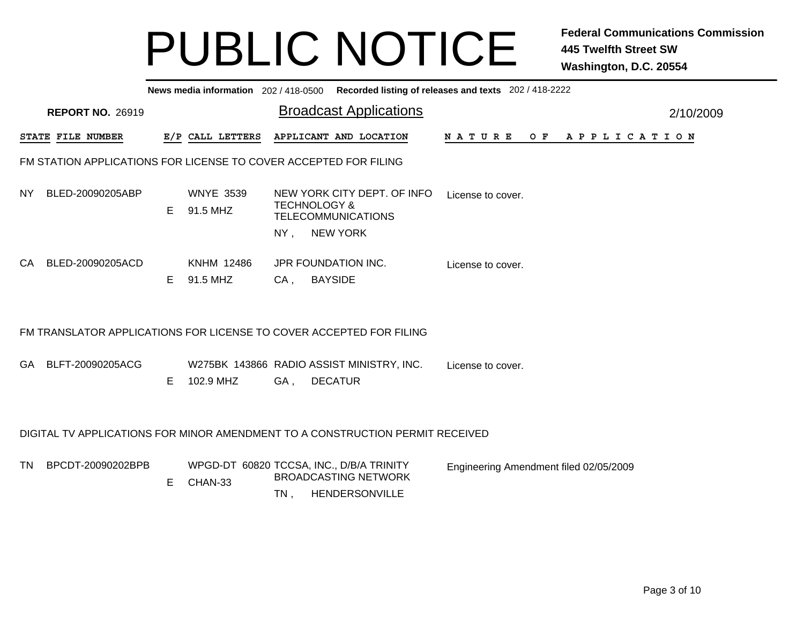|           |                                                                  |    | News media information 202 / 418-0500 |        |                                                                                                        | Recorded listing of releases and texts 202 / 418-2222 |           |
|-----------|------------------------------------------------------------------|----|---------------------------------------|--------|--------------------------------------------------------------------------------------------------------|-------------------------------------------------------|-----------|
|           | <b>REPORT NO. 26919</b>                                          |    |                                       |        | <b>Broadcast Applications</b>                                                                          |                                                       | 2/10/2009 |
|           | STATE FILE NUMBER                                                |    | E/P CALL LETTERS                      |        | APPLICANT AND LOCATION                                                                                 | N A T U R E<br>OF APPLICATION                         |           |
|           | FM STATION APPLICATIONS FOR LICENSE TO COVER ACCEPTED FOR FILING |    |                                       |        |                                                                                                        |                                                       |           |
| NY.       | BLED-20090205ABP                                                 | E. | <b>WNYE 3539</b><br>91.5 MHZ          | $NY$ , | NEW YORK CITY DEPT. OF INFO<br><b>TECHNOLOGY &amp;</b><br><b>TELECOMMUNICATIONS</b><br><b>NEW YORK</b> | License to cover.                                     |           |
| CA.       | BLED-20090205ACD                                                 | E. | <b>KNHM 12486</b><br>91.5 MHZ         | $CA$ , | JPR FOUNDATION INC.<br><b>BAYSIDE</b>                                                                  | License to cover.                                     |           |
|           |                                                                  |    |                                       |        | FM TRANSLATOR APPLICATIONS FOR LICENSE TO COVER ACCEPTED FOR FILING                                    |                                                       |           |
| GA.       | BLFT-20090205ACG                                                 | E. | 102.9 MHZ                             | GA,    | W275BK 143866 RADIO ASSIST MINISTRY, INC.<br><b>DECATUR</b>                                            | License to cover.                                     |           |
|           |                                                                  |    |                                       |        | DIGITAL TV APPLICATIONS FOR MINOR AMENDMENT TO A CONSTRUCTION PERMIT RECEIVED                          |                                                       |           |
| <b>TN</b> | BPCDT-20090202BPB                                                | E. | CHAN-33                               | $TN$ , | WPGD-DT 60820 TCCSA, INC., D/B/A TRINITY<br><b>BROADCASTING NETWORK</b><br>HENDERSONVILLE              | Engineering Amendment filed 02/05/2009                |           |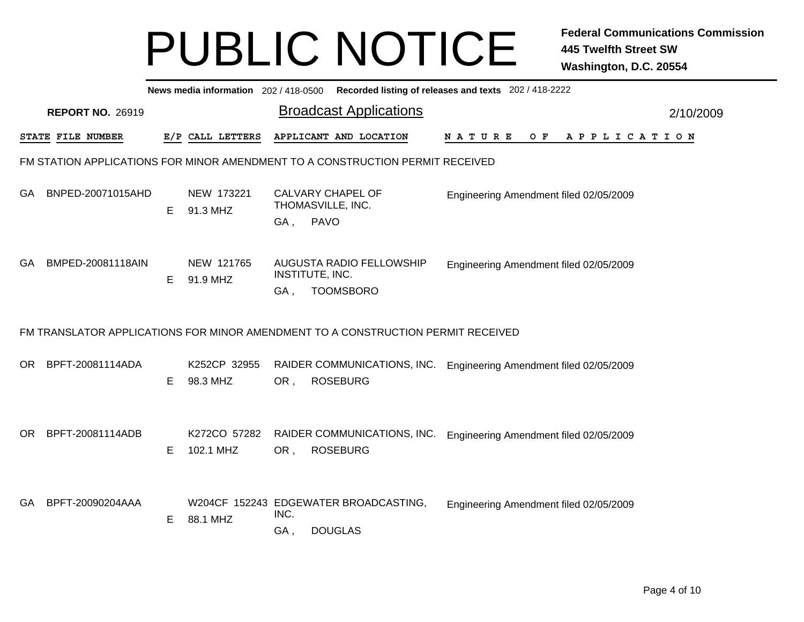|     |                         |    |                           |      | News media information 202/418-0500 Recorded listing of releases and texts 202/418-2222 |                                        |  |  |  |  |     |                       |  |  |  |           |  |
|-----|-------------------------|----|---------------------------|------|-----------------------------------------------------------------------------------------|----------------------------------------|--|--|--|--|-----|-----------------------|--|--|--|-----------|--|
|     | <b>REPORT NO. 26919</b> |    |                           |      | <b>Broadcast Applications</b>                                                           |                                        |  |  |  |  |     |                       |  |  |  | 2/10/2009 |  |
|     | STATE FILE NUMBER       |    | E/P CALL LETTERS          |      | APPLICANT AND LOCATION                                                                  | <b>NATURE</b>                          |  |  |  |  | O F | A P P L I C A T I O N |  |  |  |           |  |
|     |                         |    |                           |      | FM STATION APPLICATIONS FOR MINOR AMENDMENT TO A CONSTRUCTION PERMIT RECEIVED           |                                        |  |  |  |  |     |                       |  |  |  |           |  |
| GA. | BNPED-20071015AHD       | E. | NEW 173221<br>91.3 MHZ    | GA,  | CALVARY CHAPEL OF<br>THOMASVILLE, INC.<br><b>PAVO</b>                                   | Engineering Amendment filed 02/05/2009 |  |  |  |  |     |                       |  |  |  |           |  |
| GA. | BMPED-20081118AIN       | E  | NEW 121765<br>91.9 MHZ    | GA,  | AUGUSTA RADIO FELLOWSHIP<br>INSTITUTE, INC.<br><b>TOOMSBORO</b>                         | Engineering Amendment filed 02/05/2009 |  |  |  |  |     |                       |  |  |  |           |  |
|     |                         |    |                           |      | FM TRANSLATOR APPLICATIONS FOR MINOR AMENDMENT TO A CONSTRUCTION PERMIT RECEIVED        |                                        |  |  |  |  |     |                       |  |  |  |           |  |
| OR. | BPFT-20081114ADA        | Е  | K252CP 32955<br>98.3 MHZ  | OR,  | RAIDER COMMUNICATIONS, INC.<br><b>ROSEBURG</b>                                          | Engineering Amendment filed 02/05/2009 |  |  |  |  |     |                       |  |  |  |           |  |
| OR. | BPFT-20081114ADB        | E. | K272CO 57282<br>102.1 MHZ | OR,  | RAIDER COMMUNICATIONS, INC.<br><b>ROSEBURG</b>                                          | Engineering Amendment filed 02/05/2009 |  |  |  |  |     |                       |  |  |  |           |  |
| GA. | BPFT-20090204AAA        | E  | 88.1 MHZ                  | INC. | W204CF 152243 EDGEWATER BROADCASTING,                                                   | Engineering Amendment filed 02/05/2009 |  |  |  |  |     |                       |  |  |  |           |  |
|     |                         |    |                           | GA,  | <b>DOUGLAS</b>                                                                          |                                        |  |  |  |  |     |                       |  |  |  |           |  |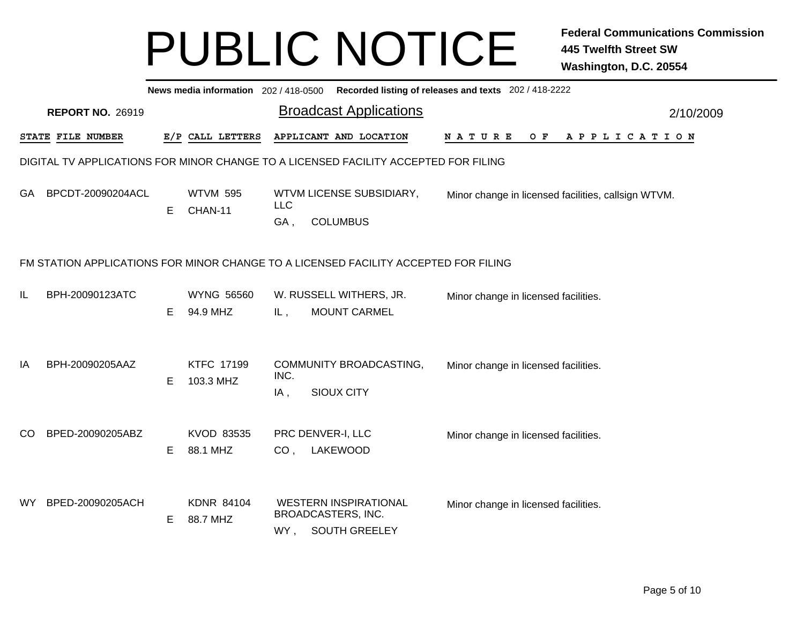|               | News media information 202/418-0500 Recorded listing of releases and texts 202/418-2222 |    |                                |                   |                                                                                     |                                      |     |                                                     |           |  |  |  |  |
|---------------|-----------------------------------------------------------------------------------------|----|--------------------------------|-------------------|-------------------------------------------------------------------------------------|--------------------------------------|-----|-----------------------------------------------------|-----------|--|--|--|--|
|               | <b>REPORT NO. 26919</b>                                                                 |    |                                |                   | <b>Broadcast Applications</b>                                                       |                                      |     |                                                     | 2/10/2009 |  |  |  |  |
|               | STATE FILE NUMBER                                                                       |    | E/P CALL LETTERS               |                   | APPLICANT AND LOCATION                                                              | N A T U R E                          | O F | A P P L I C A T I O N                               |           |  |  |  |  |
|               |                                                                                         |    |                                |                   | DIGITAL TV APPLICATIONS FOR MINOR CHANGE TO A LICENSED FACILITY ACCEPTED FOR FILING |                                      |     |                                                     |           |  |  |  |  |
| GA.           | BPCDT-20090204ACL                                                                       | E. | <b>WTVM 595</b><br>CHAN-11     | <b>LLC</b><br>GA, | WTVM LICENSE SUBSIDIARY,<br><b>COLUMBUS</b>                                         |                                      |     | Minor change in licensed facilities, callsign WTVM. |           |  |  |  |  |
|               |                                                                                         |    |                                |                   | FM STATION APPLICATIONS FOR MINOR CHANGE TO A LICENSED FACILITY ACCEPTED FOR FILING |                                      |     |                                                     |           |  |  |  |  |
| IL            | BPH-20090123ATC                                                                         | E. | <b>WYNG 56560</b><br>94.9 MHZ  | IL,               | W. RUSSELL WITHERS, JR.<br><b>MOUNT CARMEL</b>                                      | Minor change in licensed facilities. |     |                                                     |           |  |  |  |  |
| IA            | BPH-20090205AAZ                                                                         | Е  | <b>KTFC 17199</b><br>103.3 MHZ | INC.<br>IA,       | COMMUNITY BROADCASTING,<br>SIOUX CITY                                               | Minor change in licensed facilities. |     |                                                     |           |  |  |  |  |
| <sub>CO</sub> | BPED-20090205ABZ                                                                        | E. | KVOD 83535<br>88.1 MHZ         | CO <sub>1</sub>   | PRC DENVER-I, LLC<br>LAKEWOOD                                                       | Minor change in licensed facilities. |     |                                                     |           |  |  |  |  |
| WY.           | BPED-20090205ACH                                                                        | Е  | <b>KDNR 84104</b><br>88.7 MHZ  | WY,               | <b>WESTERN INSPIRATIONAL</b><br>BROADCASTERS, INC.<br><b>SOUTH GREELEY</b>          | Minor change in licensed facilities. |     |                                                     |           |  |  |  |  |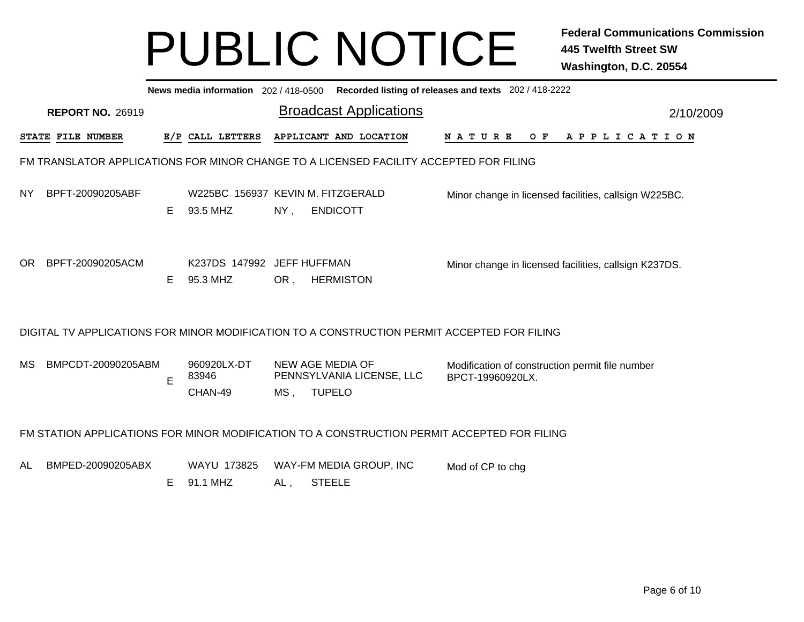|     | News media information 202 / 418-0500 Recorded listing of releases and texts 202 / 418-2222                              |    |                                               |                               |                                                                                             |                                                                     |  |  |  |  |         |  |  |  |  |             |  |           |  |
|-----|--------------------------------------------------------------------------------------------------------------------------|----|-----------------------------------------------|-------------------------------|---------------------------------------------------------------------------------------------|---------------------------------------------------------------------|--|--|--|--|---------|--|--|--|--|-------------|--|-----------|--|
|     | <b>REPORT NO. 26919</b>                                                                                                  |    |                                               | <b>Broadcast Applications</b> |                                                                                             |                                                                     |  |  |  |  |         |  |  |  |  |             |  | 2/10/2009 |  |
|     | STATE FILE NUMBER                                                                                                        |    | E/P CALL LETTERS                              |                               | APPLICANT AND LOCATION                                                                      | NATURE                                                              |  |  |  |  | $O$ $F$ |  |  |  |  | APPLICATION |  |           |  |
|     |                                                                                                                          |    |                                               |                               | FM TRANSLATOR APPLICATIONS FOR MINOR CHANGE TO A LICENSED FACILITY ACCEPTED FOR FILING      |                                                                     |  |  |  |  |         |  |  |  |  |             |  |           |  |
| NY. | BPFT-20090205ABF                                                                                                         | E  | W225BC 156937 KEVIN M. FITZGERALD<br>93.5 MHZ | $NY$ ,                        | <b>ENDICOTT</b>                                                                             | Minor change in licensed facilities, callsign W225BC.               |  |  |  |  |         |  |  |  |  |             |  |           |  |
| OR. | BPFT-20090205ACM                                                                                                         | E. | K237DS 147992 JEFF HUFFMAN<br>95.3 MHZ        | OR,                           | <b>HERMISTON</b>                                                                            | Minor change in licensed facilities, callsign K237DS.               |  |  |  |  |         |  |  |  |  |             |  |           |  |
|     |                                                                                                                          |    |                                               |                               | DIGITAL TV APPLICATIONS FOR MINOR MODIFICATION TO A CONSTRUCTION PERMIT ACCEPTED FOR FILING |                                                                     |  |  |  |  |         |  |  |  |  |             |  |           |  |
| МS  | BMPCDT-20090205ABM                                                                                                       | E  | 960920LX-DT<br>83946<br>CHAN-49               | $MS$ ,                        | <b>NEW AGE MEDIA OF</b><br>PENNSYLVANIA LICENSE, LLC<br><b>TUPELO</b>                       | Modification of construction permit file number<br>BPCT-19960920LX. |  |  |  |  |         |  |  |  |  |             |  |           |  |
|     |                                                                                                                          |    |                                               |                               | FM STATION APPLICATIONS FOR MINOR MODIFICATION TO A CONSTRUCTION PERMIT ACCEPTED FOR FILING |                                                                     |  |  |  |  |         |  |  |  |  |             |  |           |  |
| AL  | BMPED-20090205ABX<br>WAYU 173825<br>WAY-FM MEDIA GROUP, INC<br>Mod of CP to chg<br>91.1 MHZ<br><b>STEELE</b><br>Е<br>AL, |    |                                               |                               |                                                                                             |                                                                     |  |  |  |  |         |  |  |  |  |             |  |           |  |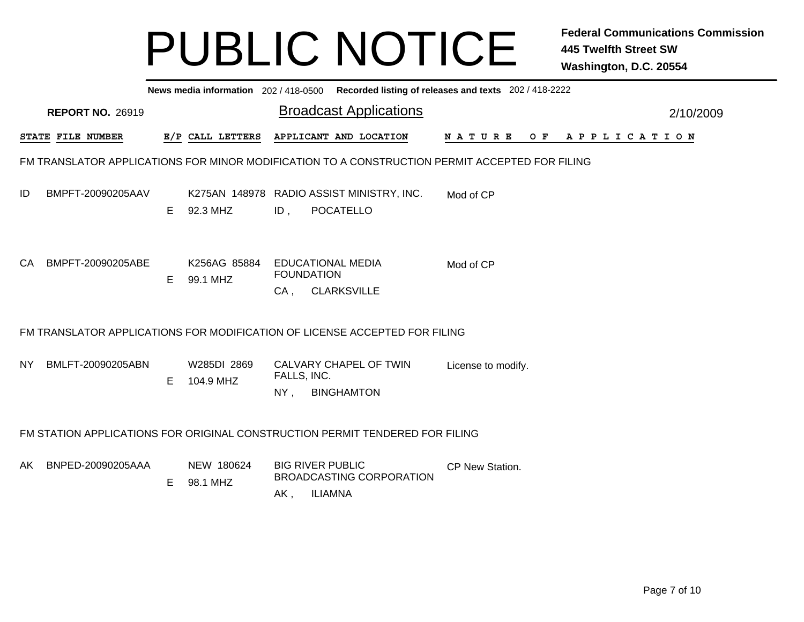|      | News media information 202/418-0500 Recorded listing of releases and texts 202/418-2222 |    |                          |                       |                                                                                                |                    |                |  |  |  |           |  |  |
|------|-----------------------------------------------------------------------------------------|----|--------------------------|-----------------------|------------------------------------------------------------------------------------------------|--------------------|----------------|--|--|--|-----------|--|--|
|      | <b>REPORT NO. 26919</b>                                                                 |    |                          |                       | <b>Broadcast Applications</b>                                                                  |                    |                |  |  |  | 2/10/2009 |  |  |
|      | <b>STATE FILE NUMBER</b>                                                                |    | E/P CALL LETTERS         |                       | APPLICANT AND LOCATION                                                                         | N A T U R E        | OF APPLICATION |  |  |  |           |  |  |
|      |                                                                                         |    |                          |                       | FM TRANSLATOR APPLICATIONS FOR MINOR MODIFICATION TO A CONSTRUCTION PERMIT ACCEPTED FOR FILING |                    |                |  |  |  |           |  |  |
| ID   | BMPFT-20090205AAV                                                                       | E. | 92.3 MHZ                 | ID,                   | K275AN 148978 RADIO ASSIST MINISTRY, INC.<br>POCATELLO                                         | Mod of CP          |                |  |  |  |           |  |  |
|      | CA BMPFT-20090205ABE                                                                    | E  | K256AG 85884<br>99.1 MHZ |                       | <b>EDUCATIONAL MEDIA</b><br><b>FOUNDATION</b><br>CA, CLARKSVILLE                               | Mod of CP          |                |  |  |  |           |  |  |
|      |                                                                                         |    |                          |                       | FM TRANSLATOR APPLICATIONS FOR MODIFICATION OF LICENSE ACCEPTED FOR FILING                     |                    |                |  |  |  |           |  |  |
| NY I | BMLFT-20090205ABN                                                                       | E  | W285DI 2869<br>104.9 MHZ | FALLS, INC.<br>$NY$ , | CALVARY CHAPEL OF TWIN<br><b>BINGHAMTON</b>                                                    | License to modify. |                |  |  |  |           |  |  |
|      |                                                                                         |    |                          |                       | FM STATION APPLICATIONS FOR ORIGINAL CONSTRUCTION PERMIT TENDERED FOR FILING                   |                    |                |  |  |  |           |  |  |
|      | AK BNPED-20090205AAA                                                                    | E. | NEW 180624<br>98.1 MHZ   | AK,                   | <b>BIG RIVER PUBLIC</b><br><b>BROADCASTING CORPORATION</b><br><b>ILIAMNA</b>                   | CP New Station.    |                |  |  |  |           |  |  |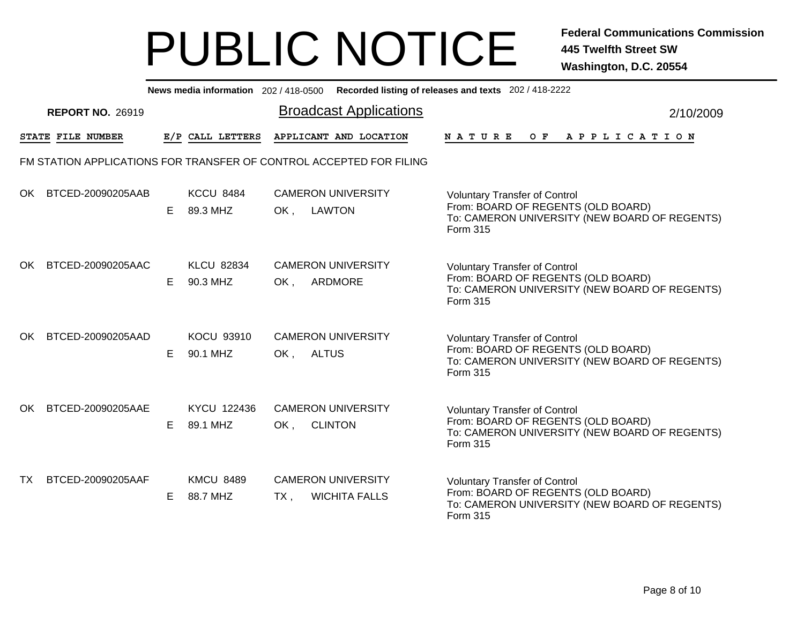|     | News media information 202/418-0500 Recorded listing of releases and texts 202/418-2222 |    |                               |                               |                                                                     |                                                                                                                                                |  |  |  |  |  |  |  |  |
|-----|-----------------------------------------------------------------------------------------|----|-------------------------------|-------------------------------|---------------------------------------------------------------------|------------------------------------------------------------------------------------------------------------------------------------------------|--|--|--|--|--|--|--|--|
|     | <b>REPORT NO. 26919</b>                                                                 |    |                               | <b>Broadcast Applications</b> | 2/10/2009                                                           |                                                                                                                                                |  |  |  |  |  |  |  |  |
|     | STATE FILE NUMBER                                                                       |    | E/P CALL LETTERS              |                               | APPLICANT AND LOCATION                                              | O F<br><b>NATURE</b><br>A P P L I C A T I O N                                                                                                  |  |  |  |  |  |  |  |  |
|     |                                                                                         |    |                               |                               | FM STATION APPLICATIONS FOR TRANSFER OF CONTROL ACCEPTED FOR FILING |                                                                                                                                                |  |  |  |  |  |  |  |  |
| OK. | BTCED-20090205AAB                                                                       | E. | <b>KCCU 8484</b><br>89.3 MHZ  | OK,                           | <b>CAMERON UNIVERSITY</b><br>LAWTON                                 | <b>Voluntary Transfer of Control</b><br>From: BOARD OF REGENTS (OLD BOARD)<br>To: CAMERON UNIVERSITY (NEW BOARD OF REGENTS)<br>Form 315        |  |  |  |  |  |  |  |  |
| OK. | BTCED-20090205AAC                                                                       | E. | <b>KLCU 82834</b><br>90.3 MHZ | OK.                           | <b>CAMERON UNIVERSITY</b><br>ARDMORE                                | <b>Voluntary Transfer of Control</b><br>From: BOARD OF REGENTS (OLD BOARD)<br>To: CAMERON UNIVERSITY (NEW BOARD OF REGENTS)<br>Form 315        |  |  |  |  |  |  |  |  |
| OK. | BTCED-20090205AAD                                                                       | Е  | <b>KOCU 93910</b><br>90.1 MHZ | OK,                           | <b>CAMERON UNIVERSITY</b><br><b>ALTUS</b>                           | <b>Voluntary Transfer of Control</b><br>From: BOARD OF REGENTS (OLD BOARD)<br>To: CAMERON UNIVERSITY (NEW BOARD OF REGENTS)<br><b>Form 315</b> |  |  |  |  |  |  |  |  |
| OK. | BTCED-20090205AAE                                                                       | E. | KYCU 122436<br>89.1 MHZ       | OK,                           | <b>CAMERON UNIVERSITY</b><br><b>CLINTON</b>                         | <b>Voluntary Transfer of Control</b><br>From: BOARD OF REGENTS (OLD BOARD)<br>To: CAMERON UNIVERSITY (NEW BOARD OF REGENTS)<br>Form 315        |  |  |  |  |  |  |  |  |
| TX. | BTCED-20090205AAF                                                                       | Е  | <b>KMCU 8489</b><br>88.7 MHZ  | $TX$ ,                        | <b>CAMERON UNIVERSITY</b><br><b>WICHITA FALLS</b>                   | <b>Voluntary Transfer of Control</b><br>From: BOARD OF REGENTS (OLD BOARD)<br>To: CAMERON UNIVERSITY (NEW BOARD OF REGENTS)<br>Form 315        |  |  |  |  |  |  |  |  |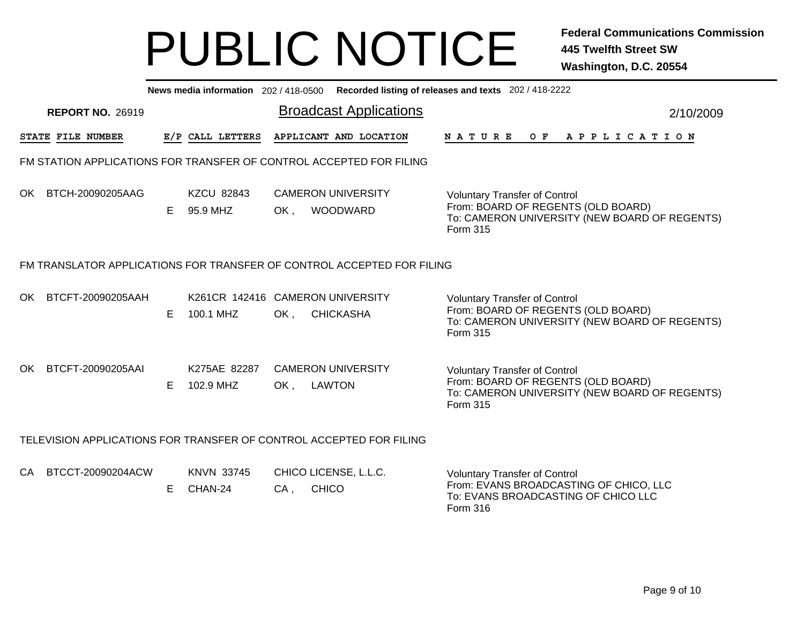|     | News media information 202/418-0500 Recorded listing of releases and texts 202/418-2222 |   |                               |                                                                        |                                                                                                                                                |  |  |  |  |  |  |  |  |
|-----|-----------------------------------------------------------------------------------------|---|-------------------------------|------------------------------------------------------------------------|------------------------------------------------------------------------------------------------------------------------------------------------|--|--|--|--|--|--|--|--|
|     | <b>REPORT NO. 26919</b>                                                                 |   |                               | <b>Broadcast Applications</b>                                          | 2/10/2009                                                                                                                                      |  |  |  |  |  |  |  |  |
|     | STATE FILE NUMBER                                                                       |   | E/P CALL LETTERS              | APPLICANT AND LOCATION                                                 | OF APPLICATION<br>N A T U R E                                                                                                                  |  |  |  |  |  |  |  |  |
|     |                                                                                         |   |                               | FM STATION APPLICATIONS FOR TRANSFER OF CONTROL ACCEPTED FOR FILING    |                                                                                                                                                |  |  |  |  |  |  |  |  |
| OK  | BTCH-20090205AAG                                                                        | E | <b>KZCU 82843</b><br>95.9 MHZ | <b>CAMERON UNIVERSITY</b><br>OK.<br><b>WOODWARD</b>                    | <b>Voluntary Transfer of Control</b><br>From: BOARD OF REGENTS (OLD BOARD)<br>To: CAMERON UNIVERSITY (NEW BOARD OF REGENTS)<br>Form 315        |  |  |  |  |  |  |  |  |
|     |                                                                                         |   |                               | FM TRANSLATOR APPLICATIONS FOR TRANSFER OF CONTROL ACCEPTED FOR FILING |                                                                                                                                                |  |  |  |  |  |  |  |  |
| OK. | BTCFT-20090205AAH                                                                       | E | 100.1 MHZ                     | K261CR 142416 CAMERON UNIVERSITY<br>OK,<br><b>CHICKASHA</b>            | <b>Voluntary Transfer of Control</b><br>From: BOARD OF REGENTS (OLD BOARD)<br>To: CAMERON UNIVERSITY (NEW BOARD OF REGENTS)<br><b>Form 315</b> |  |  |  |  |  |  |  |  |
| OK. | BTCFT-20090205AAI                                                                       | E | K275AE 82287<br>102.9 MHZ     | <b>CAMERON UNIVERSITY</b><br>OK,<br>LAWTON                             | <b>Voluntary Transfer of Control</b><br>From: BOARD OF REGENTS (OLD BOARD)<br>To: CAMERON UNIVERSITY (NEW BOARD OF REGENTS)<br>Form 315        |  |  |  |  |  |  |  |  |
|     |                                                                                         |   |                               | TELEVISION APPLICATIONS FOR TRANSFER OF CONTROL ACCEPTED FOR FILING    |                                                                                                                                                |  |  |  |  |  |  |  |  |
| CA. | BTCCT-20090204ACW                                                                       | E | <b>KNVN 33745</b><br>CHAN-24  | CHICO LICENSE, L.L.C.<br><b>CHICO</b><br>$CA$ ,                        | <b>Voluntary Transfer of Control</b><br>From: EVANS BROADCASTING OF CHICO, LLC<br>To: EVANS BROADCASTING OF CHICO LLC<br>Form 316              |  |  |  |  |  |  |  |  |